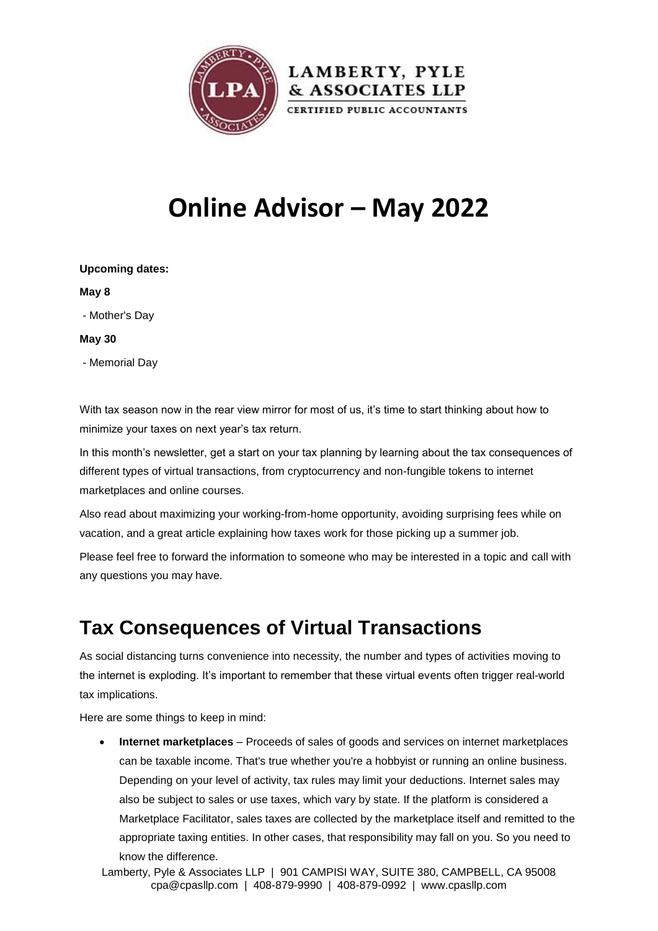

# **Online Advisor – May 2022**

| <b>Upcoming dates:</b> |  |
|------------------------|--|
| May 8                  |  |
| - Mother's Day         |  |
| May 30                 |  |
| - Memorial Day         |  |
|                        |  |

With tax season now in the rear view mirror for most of us, it's time to start thinking about how to minimize your taxes on next year's tax return.

In this month's newsletter, get a start on your tax planning by learning about the tax consequences of different types of virtual transactions, from cryptocurrency and non-fungible tokens to internet marketplaces and online courses.

Also read about maximizing your working-from-home opportunity, avoiding surprising fees while on vacation, and a great article explaining how taxes work for those picking up a summer job.

Please feel free to forward the information to someone who may be interested in a topic and call with any questions you may have.

### **Tax Consequences of Virtual Transactions**

As social distancing turns convenience into necessity, the number and types of activities moving to the internet is exploding. It's important to remember that these virtual events often trigger real-world tax implications.

Here are some things to keep in mind:

 **Internet marketplaces** – Proceeds of sales of goods and services on internet marketplaces can be taxable income. That's true whether you're a hobbyist or running an online business. Depending on your level of activity, tax rules may limit your deductions. Internet sales may also be subject to sales or use taxes, which vary by state. If the platform is considered a Marketplace Facilitator, sales taxes are collected by the marketplace itself and remitted to the appropriate taxing entities. In other cases, that responsibility may fall on you. So you need to know the difference.

Lamberty, Pyle & Associates LLP | 901 CAMPISI WAY, SUITE 380, CAMPBELL, CA 95008 cpa@cpasllp.com | 408-879-9990 | 408-879-0992 | www.cpasllp.com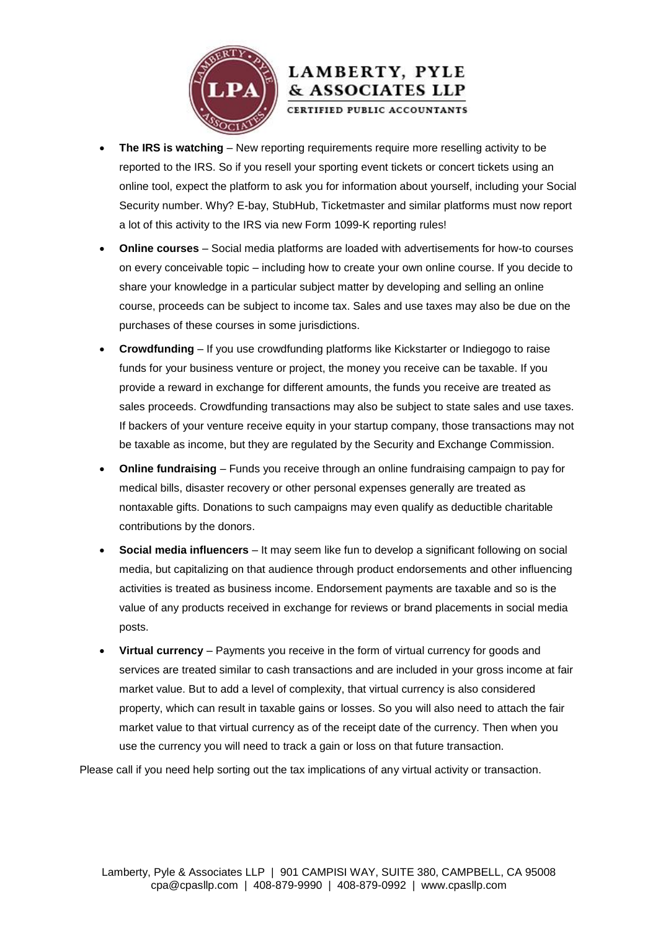

### LAMBERTY, PYLE & ASSOCIATES LLP

CERTIFIED PUBLIC ACCOUNTANTS

- **The IRS is watching** New reporting requirements require more reselling activity to be reported to the IRS. So if you resell your sporting event tickets or concert tickets using an online tool, expect the platform to ask you for information about yourself, including your Social Security number. Why? E-bay, StubHub, Ticketmaster and similar platforms must now report a lot of this activity to the IRS via new Form 1099-K reporting rules!
- **Online courses** Social media platforms are loaded with advertisements for how-to courses on every conceivable topic – including how to create your own online course. If you decide to share your knowledge in a particular subject matter by developing and selling an online course, proceeds can be subject to income tax. Sales and use taxes may also be due on the purchases of these courses in some jurisdictions.
- **Crowdfunding**  If you use crowdfunding platforms like Kickstarter or Indiegogo to raise funds for your business venture or project, the money you receive can be taxable. If you provide a reward in exchange for different amounts, the funds you receive are treated as sales proceeds. Crowdfunding transactions may also be subject to state sales and use taxes. If backers of your venture receive equity in your startup company, those transactions may not be taxable as income, but they are regulated by the Security and Exchange Commission.
- **Online fundraising** Funds you receive through an online fundraising campaign to pay for medical bills, disaster recovery or other personal expenses generally are treated as nontaxable gifts. Donations to such campaigns may even qualify as deductible charitable contributions by the donors.
- **Social media influencers** It may seem like fun to develop a significant following on social media, but capitalizing on that audience through product endorsements and other influencing activities is treated as business income. Endorsement payments are taxable and so is the value of any products received in exchange for reviews or brand placements in social media posts.
- **Virtual currency** Payments you receive in the form of virtual currency for goods and services are treated similar to cash transactions and are included in your gross income at fair market value. But to add a level of complexity, that virtual currency is also considered property, which can result in taxable gains or losses. So you will also need to attach the fair market value to that virtual currency as of the receipt date of the currency. Then when you use the currency you will need to track a gain or loss on that future transaction.

Please call if you need help sorting out the tax implications of any virtual activity or transaction.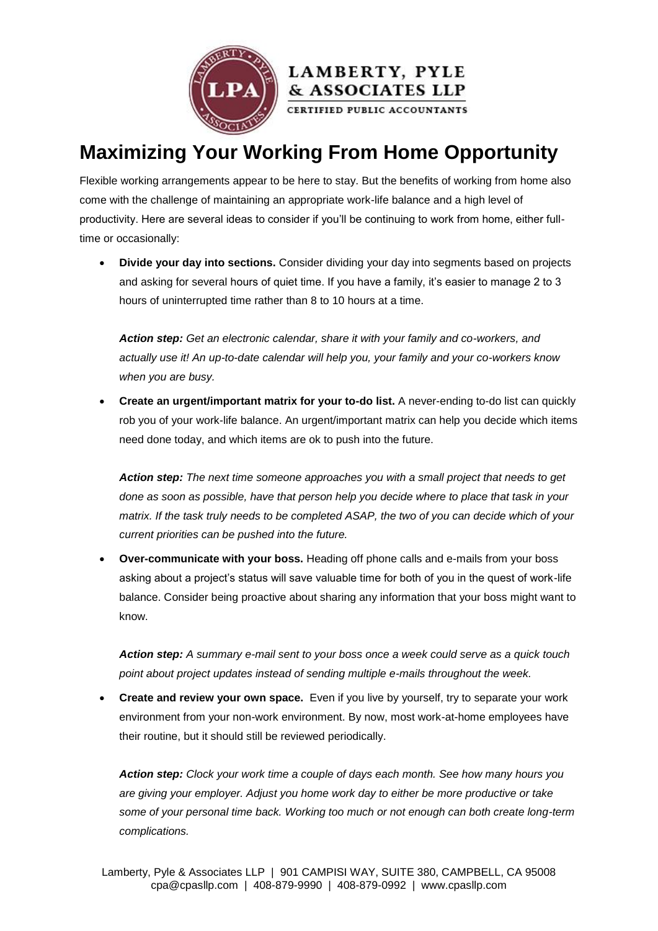

## **Maximizing Your Working From Home Opportunity**

& ASSOCIATES LLP

Flexible working arrangements appear to be here to stay. But the benefits of working from home also come with the challenge of maintaining an appropriate work-life balance and a high level of productivity. Here are several ideas to consider if you'll be continuing to work from home, either fulltime or occasionally:

 **Divide your day into sections.** Consider dividing your day into segments based on projects and asking for several hours of quiet time. If you have a family, it's easier to manage 2 to 3 hours of uninterrupted time rather than 8 to 10 hours at a time.

*Action step: Get an electronic calendar, share it with your family and co-workers, and actually use it! An up-to-date calendar will help you, your family and your co-workers know when you are busy.*

 **Create an urgent/important matrix for your to-do list.** A never-ending to-do list can quickly rob you of your work-life balance. An urgent/important matrix can help you decide which items need done today, and which items are ok to push into the future.

*Action step: The next time someone approaches you with a small project that needs to get done as soon as possible, have that person help you decide where to place that task in your matrix. If the task truly needs to be completed ASAP, the two of you can decide which of your current priorities can be pushed into the future.*

 **Over-communicate with your boss.** Heading off phone calls and e-mails from your boss asking about a project's status will save valuable time for both of you in the quest of work-life balance. Consider being proactive about sharing any information that your boss might want to know.

*Action step: A summary e-mail sent to your boss once a week could serve as a quick touch point about project updates instead of sending multiple e-mails throughout the week.*

 **Create and review your own space.** Even if you live by yourself, try to separate your work environment from your non-work environment. By now, most work-at-home employees have their routine, but it should still be reviewed periodically.

*Action step: Clock your work time a couple of days each month. See how many hours you are giving your employer. Adjust you home work day to either be more productive or take some of your personal time back. Working too much or not enough can both create long-term complications.*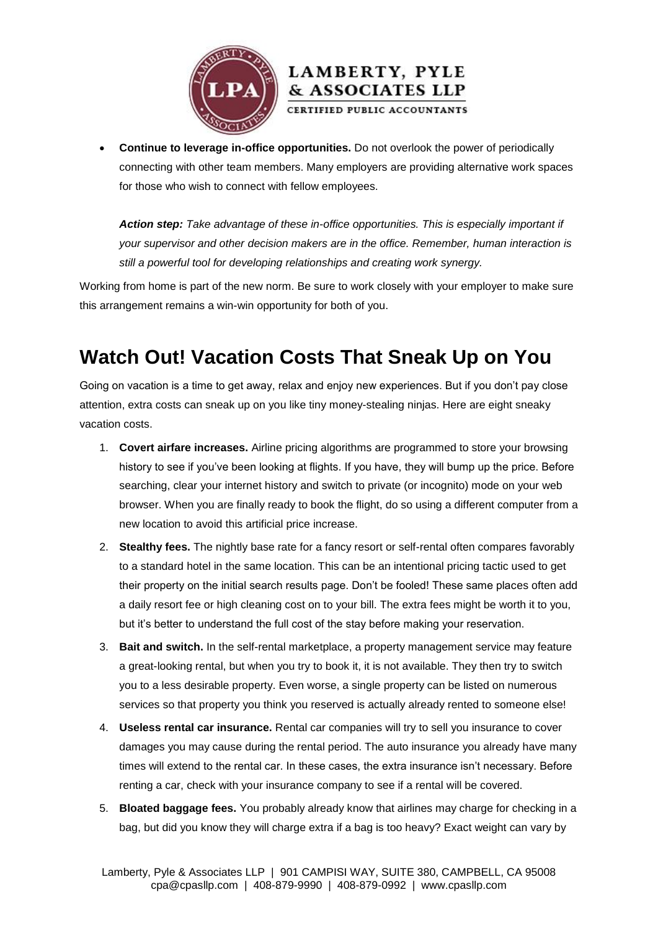



CERTIFIED PUBLIC ACCOUNTANTS

 **Continue to leverage in-office opportunities.** Do not overlook the power of periodically connecting with other team members. Many employers are providing alternative work spaces for those who wish to connect with fellow employees.

*Action step: Take advantage of these in-office opportunities. This is especially important if your supervisor and other decision makers are in the office. Remember, human interaction is still a powerful tool for developing relationships and creating work synergy.*

Working from home is part of the new norm. Be sure to work closely with your employer to make sure this arrangement remains a win-win opportunity for both of you.

## **Watch Out! Vacation Costs That Sneak Up on You**

Going on vacation is a time to get away, relax and enjoy new experiences. But if you don't pay close attention, extra costs can sneak up on you like tiny money-stealing ninjas. Here are eight sneaky vacation costs.

- 1. **Covert airfare increases.** Airline pricing algorithms are programmed to store your browsing history to see if you've been looking at flights. If you have, they will bump up the price. Before searching, clear your internet history and switch to private (or incognito) mode on your web browser. When you are finally ready to book the flight, do so using a different computer from a new location to avoid this artificial price increase.
- 2. **Stealthy fees.** The nightly base rate for a fancy resort or self-rental often compares favorably to a standard hotel in the same location. This can be an intentional pricing tactic used to get their property on the initial search results page. Don't be fooled! These same places often add a daily resort fee or high cleaning cost on to your bill. The extra fees might be worth it to you, but it's better to understand the full cost of the stay before making your reservation.
- 3. **Bait and switch.** In the self-rental marketplace, a property management service may feature a great-looking rental, but when you try to book it, it is not available. They then try to switch you to a less desirable property. Even worse, a single property can be listed on numerous services so that property you think you reserved is actually already rented to someone else!
- 4. **Useless rental car insurance.** Rental car companies will try to sell you insurance to cover damages you may cause during the rental period. The auto insurance you already have many times will extend to the rental car. In these cases, the extra insurance isn't necessary. Before renting a car, check with your insurance company to see if a rental will be covered.
- 5. **Bloated baggage fees.** You probably already know that airlines may charge for checking in a bag, but did you know they will charge extra if a bag is too heavy? Exact weight can vary by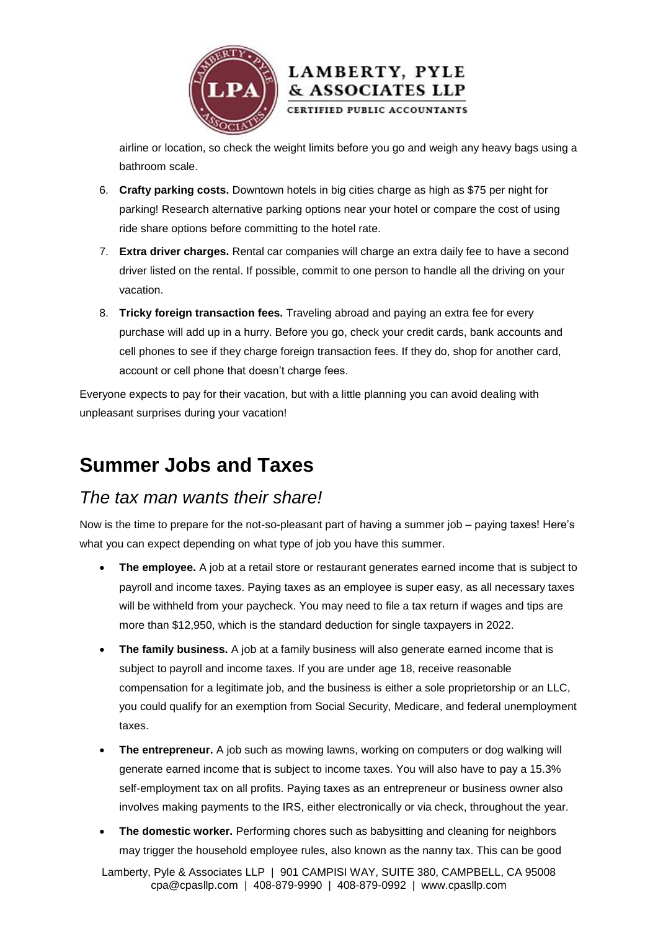



LAMBERTY, PYLE & ASSOCIATES LLP CERTIFIED PUBLIC ACCOUNTANTS

- 6. **Crafty parking costs.** Downtown hotels in big cities charge as high as \$75 per night for parking! Research alternative parking options near your hotel or compare the cost of using ride share options before committing to the hotel rate.
- 7. **Extra driver charges.** Rental car companies will charge an extra daily fee to have a second driver listed on the rental. If possible, commit to one person to handle all the driving on your vacation.
- 8. **Tricky foreign transaction fees.** Traveling abroad and paying an extra fee for every purchase will add up in a hurry. Before you go, check your credit cards, bank accounts and cell phones to see if they charge foreign transaction fees. If they do, shop for another card, account or cell phone that doesn't charge fees.

Everyone expects to pay for their vacation, but with a little planning you can avoid dealing with unpleasant surprises during your vacation!

### **Summer Jobs and Taxes**

#### *The tax man wants their share!*

Now is the time to prepare for the not-so-pleasant part of having a summer job – paying taxes! Here's what you can expect depending on what type of job you have this summer.

- **The employee.** A job at a retail store or restaurant generates earned income that is subject to payroll and income taxes. Paying taxes as an employee is super easy, as all necessary taxes will be withheld from your paycheck. You may need to file a tax return if wages and tips are more than \$12,950, which is the standard deduction for single taxpayers in 2022.
- **The family business.** A job at a family business will also generate earned income that is subject to payroll and income taxes. If you are under age 18, receive reasonable compensation for a legitimate job, and the business is either a sole proprietorship or an LLC, you could qualify for an exemption from Social Security, Medicare, and federal unemployment taxes.
- **The entrepreneur.** A job such as mowing lawns, working on computers or dog walking will generate earned income that is subject to income taxes. You will also have to pay a 15.3% self-employment tax on all profits. Paying taxes as an entrepreneur or business owner also involves making payments to the IRS, either electronically or via check, throughout the year.
- **The domestic worker.** Performing chores such as babysitting and cleaning for neighbors may trigger the household employee rules, also known as the nanny tax. This can be good

Lamberty, Pyle & Associates LLP | 901 CAMPISI WAY, SUITE 380, CAMPBELL, CA 95008 cpa@cpasllp.com | 408-879-9990 | 408-879-0992 | www.cpasllp.com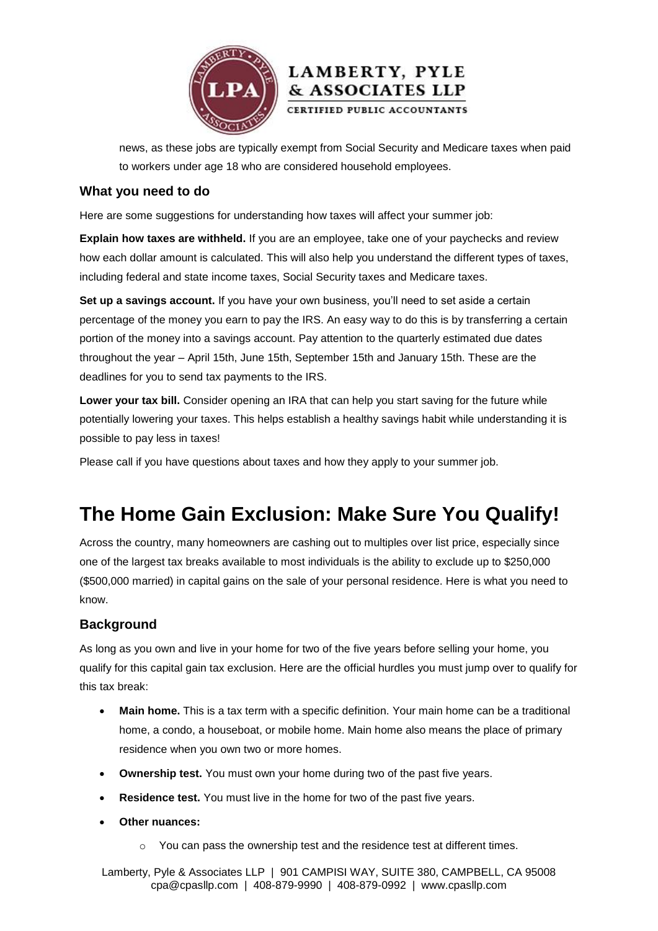



news, as these jobs are typically exempt from Social Security and Medicare taxes when paid to workers under age 18 who are considered household employees.

#### **What you need to do**

Here are some suggestions for understanding how taxes will affect your summer job:

**Explain how taxes are withheld.** If you are an employee, take one of your paychecks and review how each dollar amount is calculated. This will also help you understand the different types of taxes, including federal and state income taxes, Social Security taxes and Medicare taxes.

**Set up a savings account.** If you have your own business, you'll need to set aside a certain percentage of the money you earn to pay the IRS. An easy way to do this is by transferring a certain portion of the money into a savings account. Pay attention to the quarterly estimated due dates throughout the year – April 15th, June 15th, September 15th and January 15th. These are the deadlines for you to send tax payments to the IRS.

Lower your tax bill. Consider opening an IRA that can help you start saving for the future while potentially lowering your taxes. This helps establish a healthy savings habit while understanding it is possible to pay less in taxes!

Please call if you have questions about taxes and how they apply to your summer job.

### **The Home Gain Exclusion: Make Sure You Qualify!**

Across the country, many homeowners are cashing out to multiples over list price, especially since one of the largest tax breaks available to most individuals is the ability to exclude up to \$250,000 (\$500,000 married) in capital gains on the sale of your personal residence. Here is what you need to know.

#### **Background**

As long as you own and live in your home for two of the five years before selling your home, you qualify for this capital gain tax exclusion. Here are the official hurdles you must jump over to qualify for this tax break:

- **Main home.** This is a tax term with a specific definition. Your main home can be a traditional home, a condo, a houseboat, or mobile home. Main home also means the place of primary residence when you own two or more homes.
- **Ownership test.** You must own your home during two of the past five years.
- **Residence test.** You must live in the home for two of the past five years.
- **Other nuances:**
	- o You can pass the ownership test and the residence test at different times.

Lamberty, Pyle & Associates LLP | 901 CAMPISI WAY, SUITE 380, CAMPBELL, CA 95008 cpa@cpasllp.com | 408-879-9990 | 408-879-0992 | www.cpasllp.com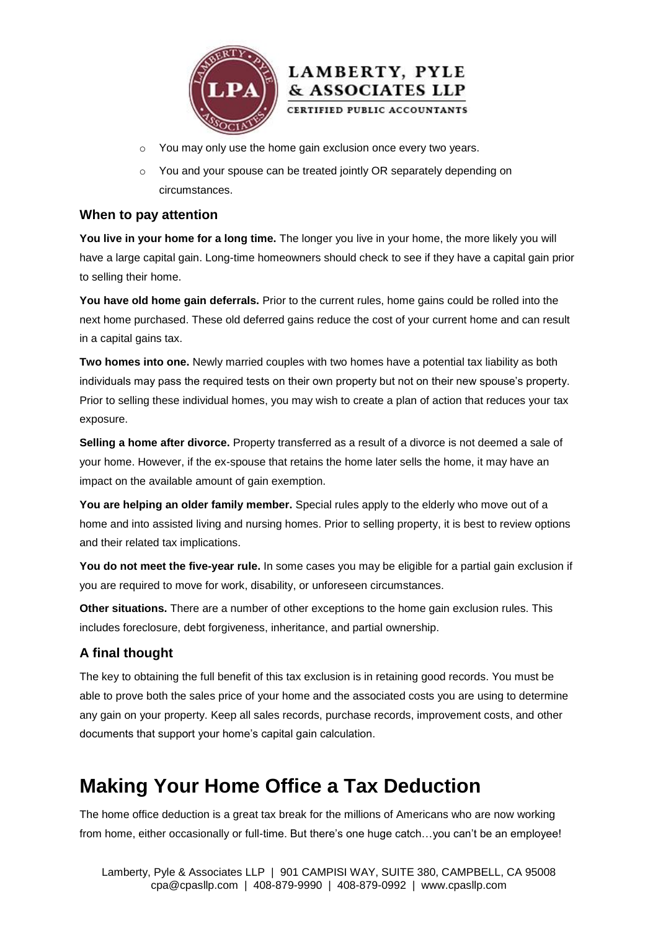



o You and your spouse can be treated jointly OR separately depending on circumstances.

**LAMBERTY, PYLE** & ASSOCIATES LLP CERTIFIED PUBLIC ACCOUNTANTS

#### **When to pay attention**

**You live in your home for a long time.** The longer you live in your home, the more likely you will have a large capital gain. Long-time homeowners should check to see if they have a capital gain prior to selling their home.

**You have old home gain deferrals.** Prior to the current rules, home gains could be rolled into the next home purchased. These old deferred gains reduce the cost of your current home and can result in a capital gains tax.

**Two homes into one.** Newly married couples with two homes have a potential tax liability as both individuals may pass the required tests on their own property but not on their new spouse's property. Prior to selling these individual homes, you may wish to create a plan of action that reduces your tax exposure.

**Selling a home after divorce.** Property transferred as a result of a divorce is not deemed a sale of your home. However, if the ex-spouse that retains the home later sells the home, it may have an impact on the available amount of gain exemption.

**You are helping an older family member.** Special rules apply to the elderly who move out of a home and into assisted living and nursing homes. Prior to selling property, it is best to review options and their related tax implications.

**You do not meet the five-year rule.** In some cases you may be eligible for a partial gain exclusion if you are required to move for work, disability, or unforeseen circumstances.

**Other situations.** There are a number of other exceptions to the home gain exclusion rules. This includes foreclosure, debt forgiveness, inheritance, and partial ownership.

#### **A final thought**

The key to obtaining the full benefit of this tax exclusion is in retaining good records. You must be able to prove both the sales price of your home and the associated costs you are using to determine any gain on your property. Keep all sales records, purchase records, improvement costs, and other documents that support your home's capital gain calculation.

### **Making Your Home Office a Tax Deduction**

The home office deduction is a great tax break for the millions of Americans who are now working from home, either occasionally or full-time. But there's one huge catch…you can't be an employee!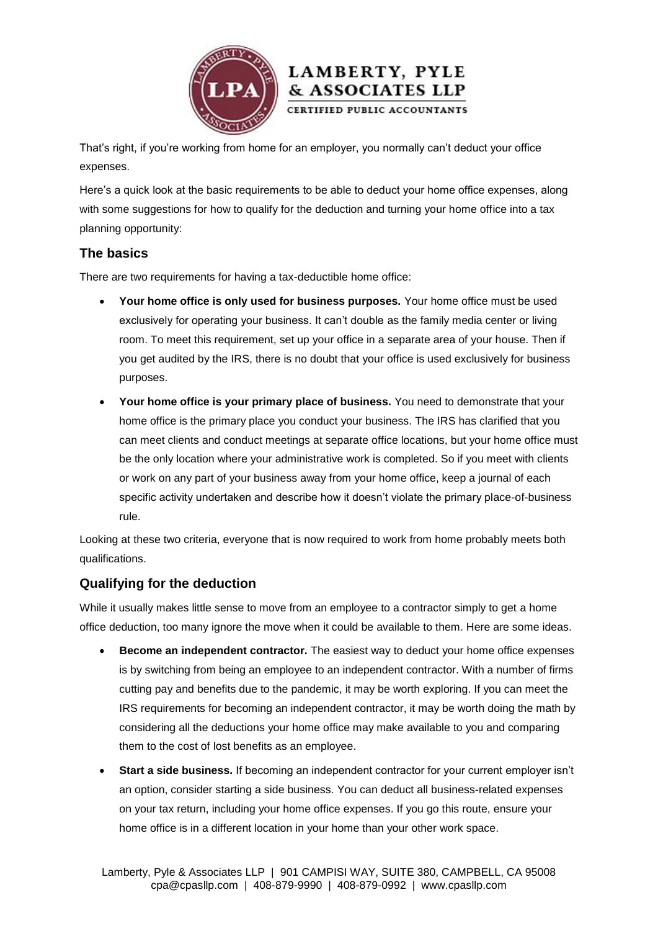



That's right, if you're working from home for an employer, you normally can't deduct your office expenses.

Here's a quick look at the basic requirements to be able to deduct your home office expenses, along with some suggestions for how to qualify for the deduction and turning your home office into a tax planning opportunity:

#### **The basics**

There are two requirements for having a tax-deductible home office:

- **Your home office is only used for business purposes.** Your home office must be used exclusively for operating your business. It can't double as the family media center or living room. To meet this requirement, set up your office in a separate area of your house. Then if you get audited by the IRS, there is no doubt that your office is used exclusively for business purposes.
- **Your home office is your primary place of business.** You need to demonstrate that your home office is the primary place you conduct your business. The IRS has clarified that you can meet clients and conduct meetings at separate office locations, but your home office must be the only location where your administrative work is completed. So if you meet with clients or work on any part of your business away from your home office, keep a journal of each specific activity undertaken and describe how it doesn't violate the primary place-of-business rule.

Looking at these two criteria, everyone that is now required to work from home probably meets both qualifications.

#### **Qualifying for the deduction**

While it usually makes little sense to move from an employee to a contractor simply to get a home office deduction, too many ignore the move when it could be available to them. Here are some ideas.

- **Become an independent contractor.** The easiest way to deduct your home office expenses is by switching from being an employee to an independent contractor. With a number of firms cutting pay and benefits due to the pandemic, it may be worth exploring. If you can meet the IRS requirements for becoming an independent contractor, it may be worth doing the math by considering all the deductions your home office may make available to you and comparing them to the cost of lost benefits as an employee.
- **Start a side business.** If becoming an independent contractor for your current employer isn't an option, consider starting a side business. You can deduct all business-related expenses on your tax return, including your home office expenses. If you go this route, ensure your home office is in a different location in your home than your other work space.